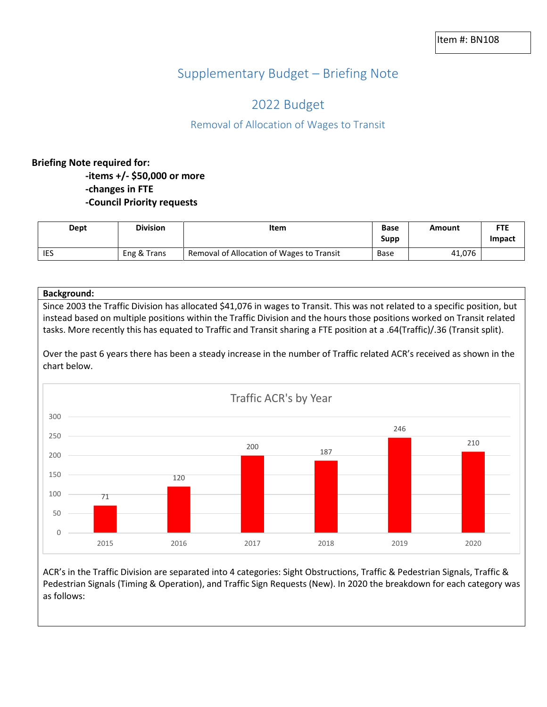# Supplementary Budget – Briefing Note

## 2022 Budget

### Removal of Allocation of Wages to Transit

### **Briefing Note required for: -items +/- \$50,000 or more -changes in FTE -Council Priority requests**

| Dept       | <b>Division</b> | Item                                      | <b>Base</b><br>Supp | Amount | <b>FTE</b><br>Impact |
|------------|-----------------|-------------------------------------------|---------------------|--------|----------------------|
| <b>IES</b> | Eng & Trans     | Removal of Allocation of Wages to Transit | Base                | 41,076 |                      |

#### **Background:**

Since 2003 the Traffic Division has allocated \$41,076 in wages to Transit. This was not related to a specific position, but instead based on multiple positions within the Traffic Division and the hours those positions worked on Transit related tasks. More recently this has equated to Traffic and Transit sharing a FTE position at a .64(Traffic)/.36 (Transit split).

Over the past 6 years there has been a steady increase in the number of Traffic related ACR's received as shown in the chart below.



ACR's in the Traffic Division are separated into 4 categories: Sight Obstructions, Traffic & Pedestrian Signals, Traffic & Pedestrian Signals (Timing & Operation), and Traffic Sign Requests (New). In 2020 the breakdown for each category was as follows: